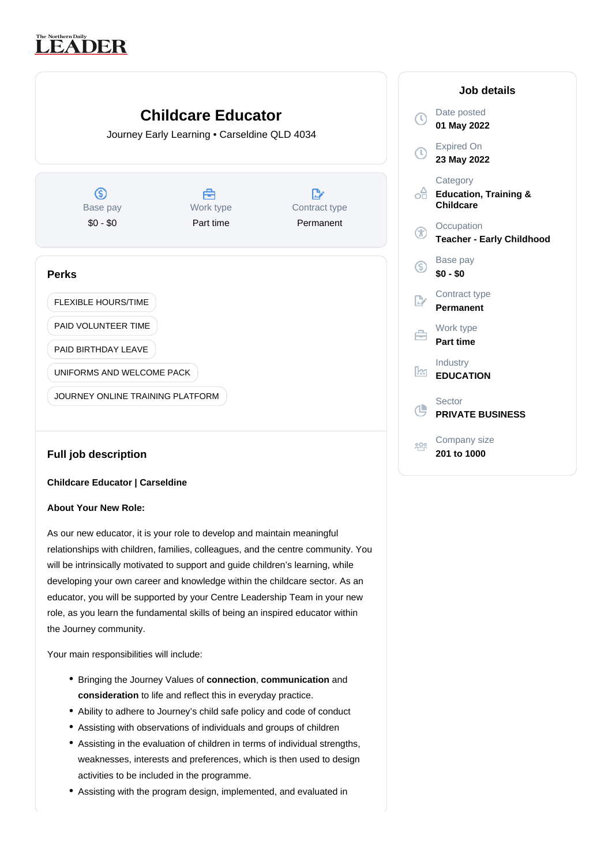# The Northern Daily<br>
LEADER



# **Full job description**

# **Childcare Educator | Carseldine**

# **About Your New Role:**

As our new educator, it is your role to develop and maintain meaningful relationships with children, families, colleagues, and the centre community. You will be intrinsically motivated to support and guide children's learning, while developing your own career and knowledge within the childcare sector. As an educator, you will be supported by your Centre Leadership Team in your new role, as you learn the fundamental skills of being an inspired educator within the Journey community.

Your main responsibilities will include:

- Bringing the Journey Values of **connection**, **communication** and consideration to life and reflect this in everyday practice.
- Ability to adhere to Journey's child safe policy and code of conduct
- Assisting with observations of individuals and groups of children
- Assisting in the evaluation of children in terms of individual strengths, weaknesses, interests and preferences, which is then used to design activities to be included in the programme.
- Assisting with the program design, implemented, and evaluated in

| Job details    |                                                           |
|----------------|-----------------------------------------------------------|
|                | Date posted<br>01 May 2022                                |
| $\mathbb O$    | <b>Expired On</b><br>23 May 2022                          |
| ہے<br>م        | Category<br><b>Education, Training &amp;</b><br>Childcare |
| Œ              | Occupation<br><b>Teacher - Early Childhood</b>            |
| G)             | Base pay<br>$$0 - $0$                                     |
| $\mathbb{R}^n$ | Contract type<br>Permanent                                |
|                | Work type<br><b>Part time</b>                             |
| ļΜ             | Industry<br><b>EDUCATION</b>                              |
| (L)            | Sector<br><b>PRIVATE BUSINESS</b>                         |
|                | Company size<br>201 to 1000                               |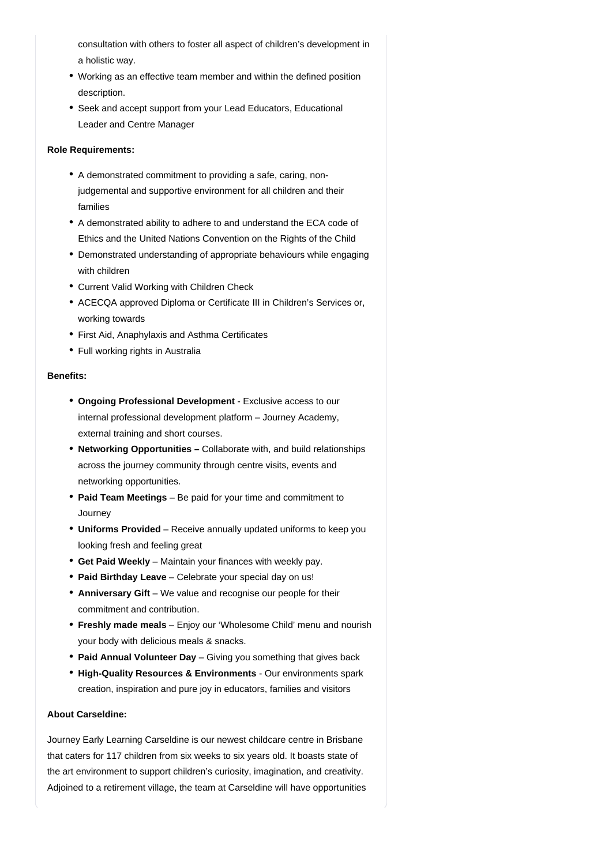consultation with others to foster all aspect of children's development in a holistic way.

- Working as an effective team member and within the defined position description.
- Seek and accept support from your Lead Educators, Educational Leader and Centre Manager

#### **Role Requirements:**

- A demonstrated commitment to providing a safe, caring, nonjudgemental and supportive environment for all children and their families
- A demonstrated ability to adhere to and understand the ECA code of Ethics and the United Nations Convention on the Rights of the Child
- Demonstrated understanding of appropriate behaviours while engaging with children
- Current Valid Working with Children Check
- ACECQA approved Diploma or Certificate III in Children's Services or, working towards
- First Aid, Anaphylaxis and Asthma Certificates
- Full working rights in Australia

### **Benefits:**

- **Ongoing Professional Development** Exclusive access to our internal professional development platform – Journey Academy, external training and short courses.
- Networking Opportunities Collaborate with, and build relationships across the journey community through centre visits, events and networking opportunities.
- **Paid Team Meetings** Be paid for your time and commitment to **Journey**
- Uniforms Provided Receive annually updated uniforms to keep you looking fresh and feeling great
- **Get Paid Weekly** Maintain your finances with weekly pay.
- **Paid Birthday Leave** Celebrate your special day on us!
- Anniversary Gift We value and recognise our people for their commitment and contribution.
- **Freshly made meals** Enjoy our 'Wholesome Child' menu and nourish your body with delicious meals & snacks.
- **Paid Annual Volunteer Day** Giving you something that gives back
- High-Quality Resources & Environments Our environments spark creation, inspiration and pure joy in educators, families and visitors

# **About Carseldine:**

Journey Early Learning Carseldine is our newest childcare centre in Brisbane that caters for 117 children from six weeks to six years old. It boasts state of the art environment to support children's curiosity, imagination, and creativity. Adjoined to a retirement village, the team at Carseldine will have opportunities